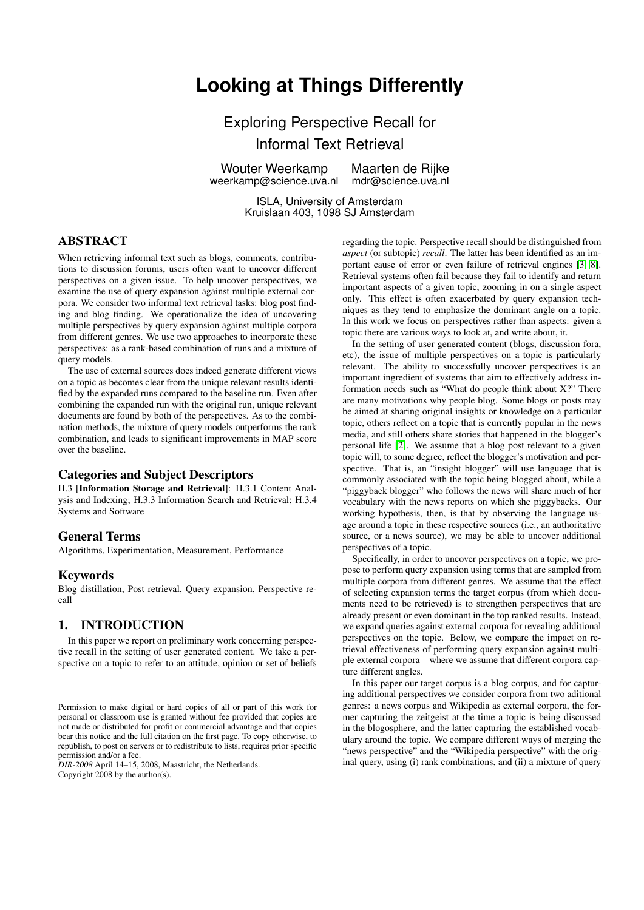# **Looking at Things Differently**

Exploring Perspective Recall for Informal Text Retrieval

Wouter Weerkamp weerkamp@science.uva.nl

Maarten de Rijke mdr@science.uva.nl

ISLA, University of Amsterdam Kruislaan 403, 1098 SJ Amsterdam

# ABSTRACT

When retrieving informal text such as blogs, comments, contributions to discussion forums, users often want to uncover different perspectives on a given issue. To help uncover perspectives, we examine the use of query expansion against multiple external corpora. We consider two informal text retrieval tasks: blog post finding and blog finding. We operationalize the idea of uncovering multiple perspectives by query expansion against multiple corpora from different genres. We use two approaches to incorporate these perspectives: as a rank-based combination of runs and a mixture of query models.

The use of external sources does indeed generate different views on a topic as becomes clear from the unique relevant results identified by the expanded runs compared to the baseline run. Even after combining the expanded run with the original run, unique relevant documents are found by both of the perspectives. As to the combination methods, the mixture of query models outperforms the rank combination, and leads to significant improvements in MAP score over the baseline.

# Categories and Subject Descriptors

H.3 [Information Storage and Retrieval]: H.3.1 Content Analysis and Indexing; H.3.3 Information Search and Retrieval; H.3.4 Systems and Software

### General Terms

Algorithms, Experimentation, Measurement, Performance

#### Keywords

Blog distillation, Post retrieval, Query expansion, Perspective recall

# <span id="page-0-0"></span>1. INTRODUCTION

In this paper we report on preliminary work concerning perspective recall in the setting of user generated content. We take a perspective on a topic to refer to an attitude, opinion or set of beliefs

*DIR-2008* April 14–15, 2008, Maastricht, the Netherlands. Copyright 2008 by the author(s).

regarding the topic. Perspective recall should be distinguished from *aspect* (or subtopic) *recall*. The latter has been identified as an important cause of error or even failure of retrieval engines [\[3,](#page-6-0) [8\]](#page-6-1). Retrieval systems often fail because they fail to identify and return important aspects of a given topic, zooming in on a single aspect only. This effect is often exacerbated by query expansion techniques as they tend to emphasize the dominant angle on a topic. In this work we focus on perspectives rather than aspects: given a topic there are various ways to look at, and write about, it.

In the setting of user generated content (blogs, discussion fora, etc), the issue of multiple perspectives on a topic is particularly relevant. The ability to successfully uncover perspectives is an important ingredient of systems that aim to effectively address information needs such as "What do people think about X?" There are many motivations why people blog. Some blogs or posts may be aimed at sharing original insights or knowledge on a particular topic, others reflect on a topic that is currently popular in the news media, and still others share stories that happened in the blogger's personal life [\[2\]](#page-6-2). We assume that a blog post relevant to a given topic will, to some degree, reflect the blogger's motivation and perspective. That is, an "insight blogger" will use language that is commonly associated with the topic being blogged about, while a "piggyback blogger" who follows the news will share much of her vocabulary with the news reports on which she piggybacks. Our working hypothesis, then, is that by observing the language usage around a topic in these respective sources (i.e., an authoritative source, or a news source), we may be able to uncover additional perspectives of a topic.

Specifically, in order to uncover perspectives on a topic, we propose to perform query expansion using terms that are sampled from multiple corpora from different genres. We assume that the effect of selecting expansion terms the target corpus (from which documents need to be retrieved) is to strengthen perspectives that are already present or even dominant in the top ranked results. Instead, we expand queries against external corpora for revealing additional perspectives on the topic. Below, we compare the impact on retrieval effectiveness of performing query expansion against multiple external corpora—where we assume that different corpora capture different angles.

In this paper our target corpus is a blog corpus, and for capturing additional perspectives we consider corpora from two aditional genres: a news corpus and Wikipedia as external corpora, the former capturing the zeitgeist at the time a topic is being discussed in the blogosphere, and the latter capturing the established vocabulary around the topic. We compare different ways of merging the "news perspective" and the "Wikipedia perspective" with the original query, using (i) rank combinations, and (ii) a mixture of query

Permission to make digital or hard copies of all or part of this work for personal or classroom use is granted without fee provided that copies are not made or distributed for profit or commercial advantage and that copies bear this notice and the full citation on the first page. To copy otherwise, to republish, to post on servers or to redistribute to lists, requires prior specific permission and/or a fee.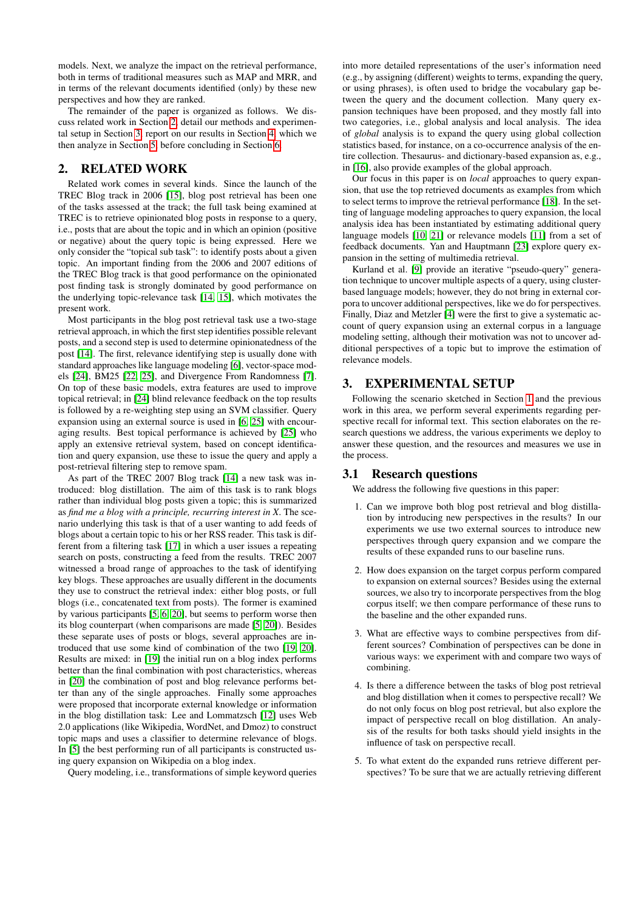models. Next, we analyze the impact on the retrieval performance, both in terms of traditional measures such as MAP and MRR, and in terms of the relevant documents identified (only) by these new perspectives and how they are ranked.

The remainder of the paper is organized as follows. We discuss related work in Section [2,](#page-1-0) detail our methods and experimental setup in Section [3,](#page-1-1) report on our results in Section [4,](#page-3-0) which we then analyze in Section [5,](#page-4-0) before concluding in Section [6.](#page-5-0)

# <span id="page-1-0"></span>2. RELATED WORK

Related work comes in several kinds. Since the launch of the TREC Blog track in 2006 [\[15\]](#page-7-0), blog post retrieval has been one of the tasks assessed at the track; the full task being examined at TREC is to retrieve opinionated blog posts in response to a query, i.e., posts that are about the topic and in which an opinion (positive or negative) about the query topic is being expressed. Here we only consider the "topical sub task": to identify posts about a given topic. An important finding from the 2006 and 2007 editions of the TREC Blog track is that good performance on the opinionated post finding task is strongly dominated by good performance on the underlying topic-relevance task [\[14,](#page-7-1) [15\]](#page-7-0), which motivates the present work.

Most participants in the blog post retrieval task use a two-stage retrieval approach, in which the first step identifies possible relevant posts, and a second step is used to determine opinionatedness of the post [\[14\]](#page-7-1). The first, relevance identifying step is usually done with standard approaches like language modeling [\[6\]](#page-6-3), vector-space models [\[24\]](#page-7-2), BM25 [\[22,](#page-7-3) [25\]](#page-7-4), and Divergence From Randomness [\[7\]](#page-6-4). On top of these basic models, extra features are used to improve topical retrieval; in [\[24\]](#page-7-2) blind relevance feedback on the top results is followed by a re-weighting step using an SVM classifier. Query expansion using an external source is used in [\[6,](#page-6-3) [25\]](#page-7-4) with encouraging results. Best topical performance is achieved by [\[25\]](#page-7-4) who apply an extensive retrieval system, based on concept identification and query expansion, use these to issue the query and apply a post-retrieval filtering step to remove spam.

As part of the TREC 2007 Blog track [\[14\]](#page-7-1) a new task was introduced: blog distillation. The aim of this task is to rank blogs rather than individual blog posts given a topic; this is summarized as *find me a blog with a principle, recurring interest in X*. The scenario underlying this task is that of a user wanting to add feeds of blogs about a certain topic to his or her RSS reader. This task is different from a filtering task [\[17\]](#page-7-5) in which a user issues a repeating search on posts, constructing a feed from the results. TREC 2007 witnessed a broad range of approaches to the task of identifying key blogs. These approaches are usually different in the documents they use to construct the retrieval index: either blog posts, or full blogs (i.e., concatenated text from posts). The former is examined by various participants [\[5,](#page-6-5) [6,](#page-6-3) [20\]](#page-7-6), but seems to perform worse then its blog counterpart (when comparisons are made [\[5,](#page-6-5) [20\]](#page-7-6)). Besides these separate uses of posts or blogs, several approaches are introduced that use some kind of combination of the two [\[19,](#page-7-7) [20\]](#page-7-6). Results are mixed: in [\[19\]](#page-7-7) the initial run on a blog index performs better than the final combination with post characteristics, whereas in [\[20\]](#page-7-6) the combination of post and blog relevance performs better than any of the single approaches. Finally some approaches were proposed that incorporate external knowledge or information in the blog distillation task: Lee and Lommatzsch [\[12\]](#page-6-6) uses Web 2.0 applications (like Wikipedia, WordNet, and Dmoz) to construct topic maps and uses a classifier to determine relevance of blogs. In [\[5\]](#page-6-5) the best performing run of all participants is constructed using query expansion on Wikipedia on a blog index.

Query modeling, i.e., transformations of simple keyword queries

into more detailed representations of the user's information need (e.g., by assigning (different) weights to terms, expanding the query, or using phrases), is often used to bridge the vocabulary gap between the query and the document collection. Many query expansion techniques have been proposed, and they mostly fall into two categories, i.e., global analysis and local analysis. The idea of *global* analysis is to expand the query using global collection statistics based, for instance, on a co-occurrence analysis of the entire collection. Thesaurus- and dictionary-based expansion as, e.g., in [\[16\]](#page-7-8), also provide examples of the global approach.

Our focus in this paper is on *local* approaches to query expansion, that use the top retrieved documents as examples from which to select terms to improve the retrieval performance [\[18\]](#page-7-9). In the setting of language modeling approaches to query expansion, the local analysis idea has been instantiated by estimating additional query language models [\[10,](#page-6-7) [21\]](#page-7-10) or relevance models [\[11\]](#page-6-8) from a set of feedback documents. Yan and Hauptmann [\[23\]](#page-7-11) explore query expansion in the setting of multimedia retrieval.

Kurland et al. [\[9\]](#page-6-9) provide an iterative "pseudo-query" generation technique to uncover multiple aspects of a query, using clusterbased language models; however, they do not bring in external corpora to uncover additional perspectives, like we do for perspectives. Finally, Diaz and Metzler [\[4\]](#page-6-10) were the first to give a systematic account of query expansion using an external corpus in a language modeling setting, although their motivation was not to uncover additional perspectives of a topic but to improve the estimation of relevance models.

## <span id="page-1-1"></span>3. EXPERIMENTAL SETUP

Following the scenario sketched in Section [1](#page-0-0) and the previous work in this area, we perform several experiments regarding perspective recall for informal text. This section elaborates on the research questions we address, the various experiments we deploy to answer these question, and the resources and measures we use in the process.

## 3.1 Research questions

We address the following five questions in this paper:

- 1. Can we improve both blog post retrieval and blog distillation by introducing new perspectives in the results? In our experiments we use two external sources to introduce new perspectives through query expansion and we compare the results of these expanded runs to our baseline runs.
- 2. How does expansion on the target corpus perform compared to expansion on external sources? Besides using the external sources, we also try to incorporate perspectives from the blog corpus itself; we then compare performance of these runs to the baseline and the other expanded runs.
- 3. What are effective ways to combine perspectives from different sources? Combination of perspectives can be done in various ways: we experiment with and compare two ways of combining.
- 4. Is there a difference between the tasks of blog post retrieval and blog distillation when it comes to perspective recall? We do not only focus on blog post retrieval, but also explore the impact of perspective recall on blog distillation. An analysis of the results for both tasks should yield insights in the influence of task on perspective recall.
- 5. To what extent do the expanded runs retrieve different perspectives? To be sure that we are actually retrieving different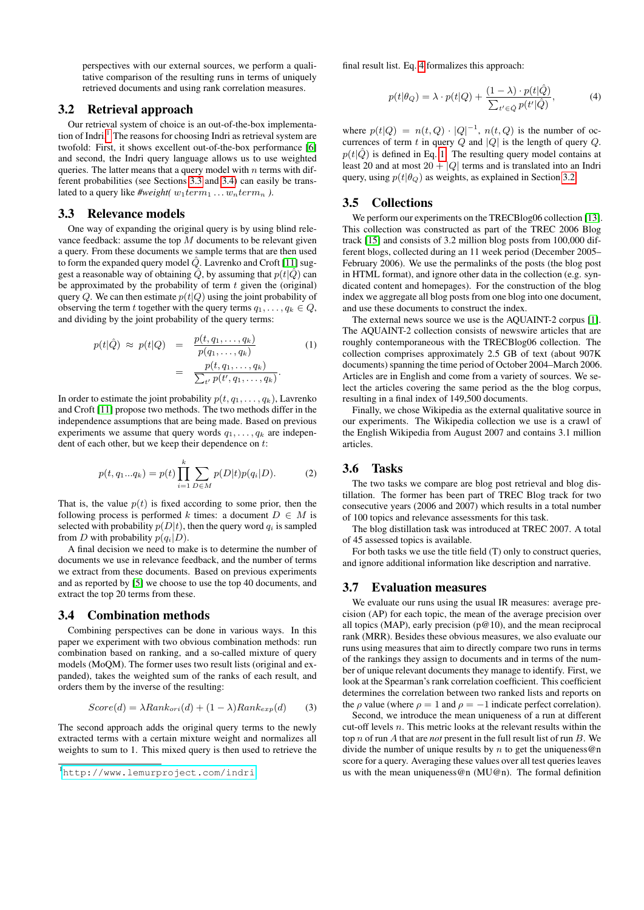perspectives with our external sources, we perform a qualitative comparison of the resulting runs in terms of uniquely retrieved documents and using rank correlation measures.

#### <span id="page-2-5"></span>3.2 Retrieval approach

Our retrieval system of choice is an out-of-the-box implementa-tion of Indri.<sup>[1](#page-2-0)</sup> The reasons for choosing Indri as retrieval system are twofold: First, it shows excellent out-of-the-box performance [\[6\]](#page-6-3) and second, the Indri query language allows us to use weighted queries. The latter means that a query model with  $n$  terms with different probabilities (see Sections [3.3](#page-2-1) and [3.4\)](#page-2-2) can easily be translated to a query like  $\# weight(w_1term_1 \ldots w_nterm_n)$ .

#### <span id="page-2-1"></span>3.3 Relevance models

One way of expanding the original query is by using blind relevance feedback: assume the top  $M$  documents to be relevant given a query. From these documents we sample terms that are then used to form the expanded query model  $Q$ . Lavrenko and Croft [\[11\]](#page-6-8) suggest a reasonable way of obtaining  $\hat{Q}$ , by assuming that  $p(t|\hat{Q})$  can be approximated by the probability of term  $t$  given the (original) query Q. We can then estimate  $p(t|Q)$  using the joint probability of observing the term t together with the query terms  $q_1, \ldots, q_k \in Q$ , and dividing by the joint probability of the query terms:

<span id="page-2-4"></span>
$$
p(t|\hat{Q}) \approx p(t|Q) = \frac{p(t, q_1, \dots, q_k)}{p(q_1, \dots, q_k)}
$$
(1)  

$$
= \frac{p(t, q_1, \dots, q_k)}{\sum_{t'} p(t', q_1, \dots, q_k)}.
$$

In order to estimate the joint probability  $p(t, q_1, \ldots, q_k)$ , Lavrenko and Croft [\[11\]](#page-6-8) propose two methods. The two methods differ in the independence assumptions that are being made. Based on previous experiments we assume that query words  $q_1, \ldots, q_k$  are independent of each other, but we keep their dependence on t:

$$
p(t, q_1...q_k) = p(t) \prod_{i=1}^k \sum_{D \in M} p(D|t) p(q_i|D). \tag{2}
$$

That is, the value  $p(t)$  is fixed according to some prior, then the following process is performed k times: a document  $D \in M$  is selected with probability  $p(D|t)$ , then the query word  $q_i$  is sampled from D with probability  $p(q_i|D)$ .

A final decision we need to make is to determine the number of documents we use in relevance feedback, and the number of terms we extract from these documents. Based on previous experiments and as reported by [\[5\]](#page-6-5) we choose to use the top 40 documents, and extract the top 20 terms from these.

#### <span id="page-2-2"></span>3.4 Combination methods

Combining perspectives can be done in various ways. In this paper we experiment with two obvious combination methods: run combination based on ranking, and a so-called mixture of query models (MoQM). The former uses two result lists (original and expanded), takes the weighted sum of the ranks of each result, and orders them by the inverse of the resulting:

$$
Score(d) = \lambda Rank_{ori}(d) + (1 - \lambda)Rank_{exp}(d)
$$
 (3)

The second approach adds the original query terms to the newly extracted terms with a certain mixture weight and normalizes all weights to sum to 1. This mixed query is then used to retrieve the final result list. Eq. [4](#page-2-3) formalizes this approach:

<span id="page-2-3"></span>
$$
p(t|\theta_Q) = \lambda \cdot p(t|Q) + \frac{(1-\lambda) \cdot p(t|\hat{Q})}{\sum_{t' \in \hat{Q}} p(t'|\hat{Q})},\tag{4}
$$

where  $p(t|Q) = n(t,Q) \cdot |Q|^{-1}$ ,  $n(t,Q)$  is the number of occurrences of term t in query  $Q$  and  $|Q|$  is the length of query  $Q$ .  $p(t|\hat{Q})$  is defined in Eq. [1.](#page-2-4) The resulting query model contains at least 20 and at most  $20 + |Q|$  terms and is translated into an Indri query, using  $p(t|\theta_Q)$  as weights, as explained in Section [3.2.](#page-2-5)

## <span id="page-2-6"></span>3.5 Collections

We perform our experiments on the TRECBlog06 collection [\[13\]](#page-7-12). This collection was constructed as part of the TREC 2006 Blog track [\[15\]](#page-7-0) and consists of 3.2 million blog posts from 100,000 different blogs, collected during an 11 week period (December 2005– February 2006). We use the permalinks of the posts (the blog post in HTML format), and ignore other data in the collection (e.g. syndicated content and homepages). For the construction of the blog index we aggregate all blog posts from one blog into one document, and use these documents to construct the index.

The external news source we use is the AQUAINT-2 corpus [\[1\]](#page-6-11). The AQUAINT-2 collection consists of newswire articles that are roughly contemporaneous with the TRECBlog06 collection. The collection comprises approximately 2.5 GB of text (about 907K documents) spanning the time period of October 2004–March 2006. Articles are in English and come from a variety of sources. We select the articles covering the same period as the the blog corpus, resulting in a final index of 149,500 documents.

Finally, we chose Wikipedia as the external qualitative source in our experiments. The Wikipedia collection we use is a crawl of the English Wikipedia from August 2007 and contains 3.1 million articles.

# 3.6 Tasks

The two tasks we compare are blog post retrieval and blog distillation. The former has been part of TREC Blog track for two consecutive years (2006 and 2007) which results in a total number of 100 topics and relevance assessments for this task.

The blog distillation task was introduced at TREC 2007. A total of 45 assessed topics is available.

For both tasks we use the title field (T) only to construct queries, and ignore additional information like description and narrative.

#### 3.7 Evaluation measures

We evaluate our runs using the usual IR measures: average precision (AP) for each topic, the mean of the average precision over all topics (MAP), early precision ( $p@10$ ), and the mean reciprocal rank (MRR). Besides these obvious measures, we also evaluate our runs using measures that aim to directly compare two runs in terms of the rankings they assign to documents and in terms of the number of unique relevant documents they manage to identify. First, we look at the Spearman's rank correlation coefficient. This coefficient determines the correlation between two ranked lists and reports on the  $\rho$  value (where  $\rho = 1$  and  $\rho = -1$  indicate perfect correlation).

Second, we introduce the mean uniqueness of a run at different cut-off levels n. This metric looks at the relevant results within the top n of run A that are *not* present in the full result list of run B. We divide the number of unique results by  $n$  to get the uniqueness@n score for a query. Averaging these values over all test queries leaves us with the mean uniqueness@n (MU@n). The formal definition

<span id="page-2-0"></span><sup>1</sup><http://www.lemurproject.com/indri>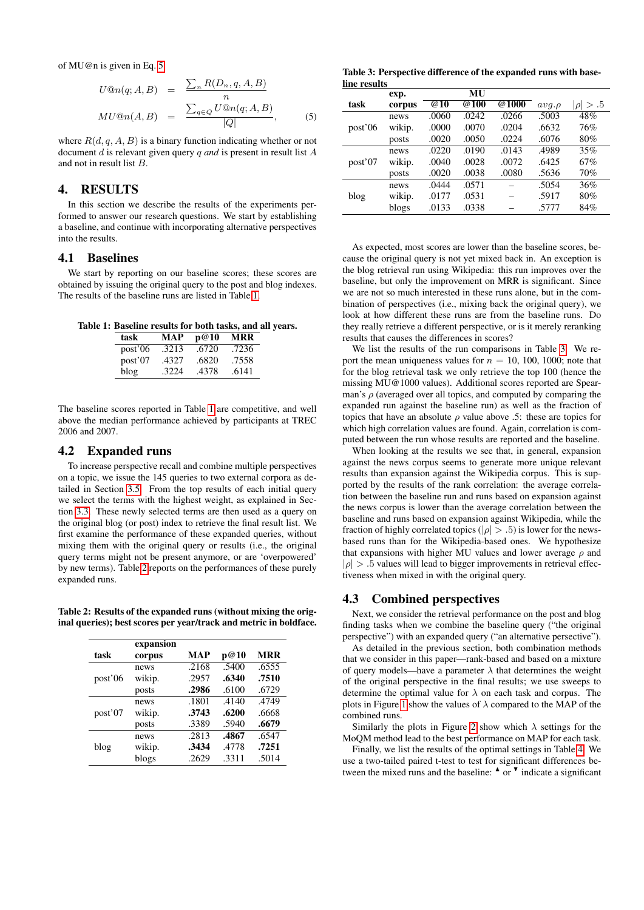of MU@n is given in Eq. [5.](#page-3-1)

<span id="page-3-1"></span>
$$
U@n(q; A, B) = \frac{\sum_{n} R(D_n, q, A, B)}{n}
$$

$$
MU@n(A, B) = \frac{\sum_{q \in Q} U@n(q; A, B)}{|Q|},
$$
(5)

where  $R(d, q, A, B)$  is a binary function indicating whether or not document d is relevant given query q *and* is present in result list A and not in result list B.

# <span id="page-3-0"></span>4. RESULTS

In this section we describe the results of the experiments performed to answer our research questions. We start by establishing a baseline, and continue with incorporating alternative perspectives into the results.

# 4.1 Baselines

We start by reporting on our baseline scores; these scores are obtained by issuing the original query to the post and blog indexes. The results of the baseline runs are listed in Table [1.](#page-3-2)

Table 1: Baseline results for both tasks, and all years.

<span id="page-3-2"></span>

| task    | MAP   | p@10  | MRR   |
|---------|-------|-------|-------|
| post'06 | .3213 | .6720 | .7236 |
| post'07 | .4327 | .6820 | .7558 |
| blog    | .3224 | .4378 | .6141 |

The baseline scores reported in Table [1](#page-3-2) are competitive, and well above the median performance achieved by participants at TREC 2006 and 2007.

#### 4.2 Expanded runs

To increase perspective recall and combine multiple perspectives on a topic, we issue the 145 queries to two external corpora as detailed in Section [3.5.](#page-2-6) From the top results of each initial query we select the terms with the highest weight, as explained in Section [3.3.](#page-2-1) These newly selected terms are then used as a query on the original blog (or post) index to retrieve the final result list. We first examine the performance of these expanded queries, without mixing them with the original query or results (i.e., the original query terms might not be present anymore, or are 'overpowered' by new terms). Table [2](#page-3-3) reports on the performances of these purely expanded runs.

Table 2: Results of the expanded runs (without mixing the original queries); best scores per year/track and metric in boldface.

<span id="page-3-3"></span>

|         | expansion |            |       |            |
|---------|-----------|------------|-------|------------|
| task    | corpus    | <b>MAP</b> | p@10  | <b>MRR</b> |
|         | news      | .2168      | .5400 | .6555      |
| post'06 | wikip.    | .2957      | .6340 | .7510      |
|         | posts     | .2986      | .6100 | .6729      |
|         | news      | .1801      | .4140 | .4749      |
| post'07 | wikip.    | .3743      | .6200 | .6668      |
|         | posts     | .3389      | .5940 | .6679      |
|         | news      | .2813      | .4867 | .6547      |
| blog    | wikip.    | .3434      | .4778 | .7251      |
|         | blogs     | .2629      | .3311 | .5014      |

<span id="page-3-4"></span>Table 3: Perspective difference of the expanded runs with baseline results

|         | exp.   |       | MU    |       |            |                 |
|---------|--------|-------|-------|-------|------------|-----------------|
| task    | corpus | @10   | @100  | @1000 | $avq.\rho$ | $\rho$   $> .5$ |
|         | news   | .0060 | .0242 | .0266 | .5003      | 48%             |
| post'06 | wikip. | .0000 | .0070 | .0204 | .6632      | 76%             |
|         | posts  | .0020 | .0050 | .0224 | .6076      | 80%             |
|         | news   | .0220 | .0190 | .0143 | .4989      | 35%             |
| post'07 | wikip. | .0040 | .0028 | .0072 | .6425      | 67%             |
|         | posts  | .0020 | .0038 | .0080 | .5636      | 70%             |
|         | news   | .0444 | .0571 |       | .5054      | 36%             |
| blog    | wikip. | .0177 | .0531 |       | .5917      | 80%             |
|         | blogs  | .0133 | .0338 |       | .5777      | 84%             |

As expected, most scores are lower than the baseline scores, because the original query is not yet mixed back in. An exception is the blog retrieval run using Wikipedia: this run improves over the baseline, but only the improvement on MRR is significant. Since we are not so much interested in these runs alone, but in the combination of perspectives (i.e., mixing back the original query), we look at how different these runs are from the baseline runs. Do they really retrieve a different perspective, or is it merely reranking results that causes the differences in scores?

We list the results of the run comparisons in Table [3.](#page-3-4) We report the mean uniqueness values for  $n = 10$ , 100, 1000; note that for the blog retrieval task we only retrieve the top 100 (hence the missing MU@1000 values). Additional scores reported are Spearman's  $\rho$  (averaged over all topics, and computed by comparing the expanded run against the baseline run) as well as the fraction of topics that have an absolute  $\rho$  value above .5: these are topics for which high correlation values are found. Again, correlation is computed between the run whose results are reported and the baseline.

When looking at the results we see that, in general, expansion against the news corpus seems to generate more unique relevant results than expansion against the Wikipedia corpus. This is supported by the results of the rank correlation: the average correlation between the baseline run and runs based on expansion against the news corpus is lower than the average correlation between the baseline and runs based on expansion against Wikipedia, while the fraction of highly correlated topics ( $|\rho| > .5$ ) is lower for the newsbased runs than for the Wikipedia-based ones. We hypothesize that expansions with higher MU values and lower average  $\rho$  and  $|\rho| > 0.5$  values will lead to bigger improvements in retrieval effectiveness when mixed in with the original query.

#### 4.3 Combined perspectives

Next, we consider the retrieval performance on the post and blog finding tasks when we combine the baseline query ("the original perspective") with an expanded query ("an alternative persective").

As detailed in the previous section, both combination methods that we consider in this paper—rank-based and based on a mixture of query models—have a parameter  $\lambda$  that determines the weight of the original perspective in the final results; we use sweeps to determine the optimal value for  $\lambda$  on each task and corpus. The plots in Figure [1](#page-4-1) show the values of  $\lambda$  compared to the MAP of the combined runs.

Similarly the plots in Figure [2](#page-4-2) show which  $\lambda$  settings for the MoQM method lead to the best performance on MAP for each task.

Finally, we list the results of the optimal settings in Table [4.](#page-5-1) We use a two-tailed paired t-test to test for significant differences between the mixed runs and the baseline:  $\text{A}$  or  $\text{B}$  indicate a significant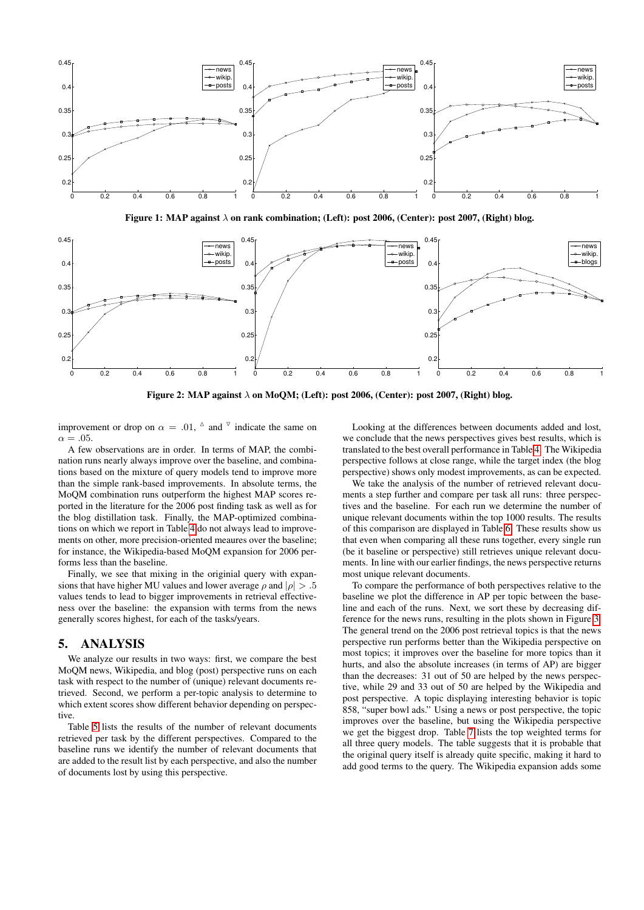

<span id="page-4-1"></span>Figure 1: MAP against  $\lambda$  on rank combination; (Left): post 2006, (Center): post 2007, (Right) blog.



<span id="page-4-2"></span>Figure 2: MAP against  $\lambda$  on MoQM; (Left): post 2006, (Center): post 2007, (Right) blog.

improvement or drop on  $\alpha = .01$ ,  $\Delta$  and  $\overline{v}$  indicate the same on  $\alpha = .05$ .

A few observations are in order. In terms of MAP, the combination runs nearly always improve over the baseline, and combinations based on the mixture of query models tend to improve more than the simple rank-based improvements. In absolute terms, the MoQM combination runs outperform the highest MAP scores reported in the literature for the 2006 post finding task as well as for the blog distillation task. Finally, the MAP-optimized combinations on which we report in Table [4](#page-5-1) do not always lead to improvements on other, more precision-oriented meaures over the baseline; for instance, the Wikipedia-based MoQM expansion for 2006 performs less than the baseline.

Finally, we see that mixing in the originial query with expansions that have higher MU values and lower average  $\rho$  and  $|\rho| > .5$ values tends to lead to bigger improvements in retrieval effectiveness over the baseline: the expansion with terms from the news generally scores highest, for each of the tasks/years.

## <span id="page-4-0"></span>5. ANALYSIS

We analyze our results in two ways: first, we compare the best MoQM news, Wikipedia, and blog (post) perspective runs on each task with respect to the number of (unique) relevant documents retrieved. Second, we perform a per-topic analysis to determine to which extent scores show different behavior depending on perspective

Table [5](#page-5-2) lists the results of the number of relevant documents retrieved per task by the different perspectives. Compared to the baseline runs we identify the number of relevant documents that are added to the result list by each perspective, and also the number of documents lost by using this perspective.

Looking at the differences between documents added and lost, we conclude that the news perspectives gives best results, which is translated to the best overall performance in Table [4.](#page-5-1) The Wikipedia perspective follows at close range, while the target index (the blog perspective) shows only modest improvements, as can be expected.

We take the analysis of the number of retrieved relevant documents a step further and compare per task all runs: three perspectives and the baseline. For each run we determine the number of unique relevant documents within the top 1000 results. The results of this comparison are displayed in Table [6.](#page-5-3) These results show us that even when comparing all these runs together, every single run (be it baseline or perspective) still retrieves unique relevant documents. In line with our earlier findings, the news perspective returns most unique relevant documents.

To compare the performance of both perspectives relative to the baseline we plot the difference in AP per topic between the baseline and each of the runs. Next, we sort these by decreasing difference for the news runs, resulting in the plots shown in Figure [3.](#page-5-4) The general trend on the 2006 post retrieval topics is that the news perspective run performs better than the Wikipedia perspective on most topics; it improves over the baseline for more topics than it hurts, and also the absolute increases (in terms of AP) are bigger than the decreases: 31 out of 50 are helped by the news perspective, while 29 and 33 out of 50 are helped by the Wikipedia and post perspective. A topic displaying interesting behavior is topic 858, "super bowl ads." Using a news or post perspective, the topic improves over the baseline, but using the Wikipedia perspective we get the biggest drop. Table [7](#page-6-12) lists the top weighted terms for all three query models. The table suggests that it is probable that the original query itself is already quite specific, making it hard to add good terms to the query. The Wikipedia expansion adds some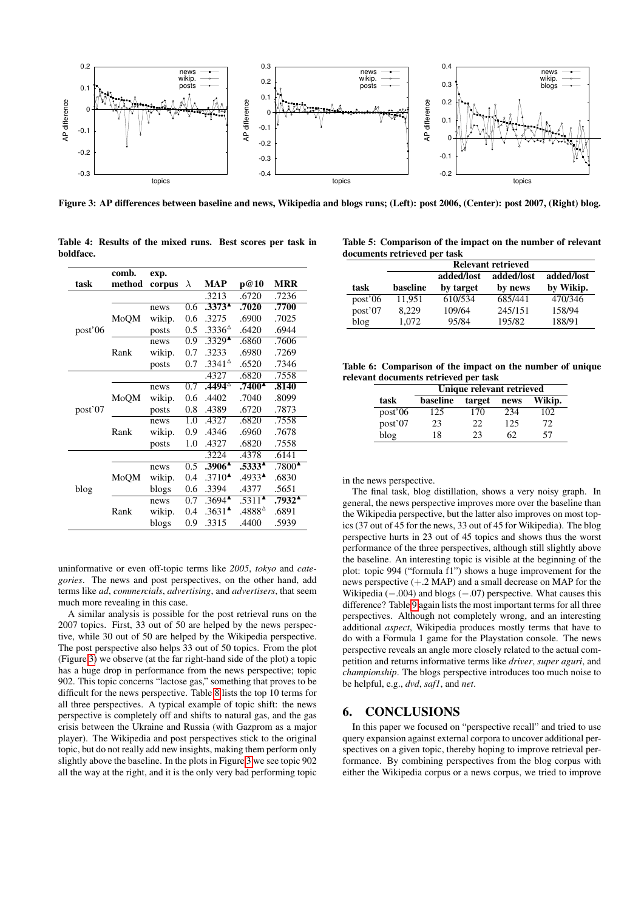

<span id="page-5-4"></span>Figure 3: AP differences between baseline and news, Wikipedia and blogs runs; (Left): post 2006, (Center): post 2007, (Right) blog.

|         | comb.  | exp.   |                  |                                     |                                |                     |
|---------|--------|--------|------------------|-------------------------------------|--------------------------------|---------------------|
| task    | method | corpus | $\lambda$        | MAP                                 | p@10                           | <b>MRR</b>          |
|         |        |        |                  | .3213                               | .6720                          | .7236               |
|         |        | news   | 0.6              | .3373 <sup>4</sup>                  | .7020                          | .7700               |
|         | MoQM   | wikip. | 0.6              | .3275                               | .6900                          | .7025               |
| post'06 |        | posts  | 0.5              | .3336 <sup>4</sup>                  | .6420                          | .6944               |
|         |        | news   | 0.9              | $.3329^{\triangle}$                 | .6860                          | .7606               |
|         | Rank   | wikip. | 0.7              | .3233                               | .6980                          | .7269               |
|         |        | posts  | 0.7              | $.3341^{\circ}$                     | .6520                          | .7346               |
|         |        |        |                  | .4327                               | .6820                          | .7558               |
|         |        | news   | 0.7              | $.4494^{\circ}$                     | $.7400^{\AA}$                  | .8140               |
|         | MoQM   | wikip. | 0.6              | .4402                               | .7040                          | .8099               |
| post'07 |        | posts  | 0.8              | .4389                               | .6720                          | .7873               |
|         |        | news   | 1.0              | .4327                               | .6820                          | .7558               |
|         | Rank   | wikip. | 0.9              | .4346                               | .6960                          | .7678               |
|         |        | posts  | 1.0              | .4327                               | .6820                          | .7558               |
|         |        |        |                  | .3224                               | .4378                          | .6141               |
|         |        | news   | $\overline{0.5}$ | $.3906^{\textstyle \blacktriangle}$ | $.53\overline{33^4}$           | $.7800^{\triangle}$ |
| blog    | MoQM   | wikip. | 0.4              | $.3710^{\triangle}$                 | $.4933^{\triangle}$            | .6830               |
|         |        | blogs  | 0.6              | .3394                               | .4377                          | .5651               |
|         |        | news   | 0.7              | $.3694^{\triangle}$                 | $.5311^{\textstyle \triangle}$ | .7932^              |
|         | Rank   | wikip. | 0.4              | $.3631^{\triangle}$                 | .4888^                         | .6891               |
|         |        | blogs  | 0.9              | .3315                               | .4400                          | .5939               |

<span id="page-5-1"></span>Table 4: Results of the mixed runs. Best scores per task in boldface.

<span id="page-5-2"></span>Table 5: Comparison of the impact on the number of relevant documents retrieved per task

|         | <b>Relevant retrieved</b> |            |            |            |  |  |
|---------|---------------------------|------------|------------|------------|--|--|
|         |                           | added/lost | added/lost | added/lost |  |  |
| task    | baseline                  | by target  | by news    | by Wikip.  |  |  |
| post'06 | 11.951                    | 610/534    | 685/441    | 470/346    |  |  |
| post'07 | 8.229                     | 109/64     | 245/151    | 158/94     |  |  |
| blog    | 1.072                     | 95/84      | 195/82     | 188/91     |  |  |

Table 6: Comparison of the impact on the number of unique relevant documents retrieved per task

<span id="page-5-3"></span>

|         | Unique relevant retrieved |        |      |        |  |  |
|---------|---------------------------|--------|------|--------|--|--|
| task    | baseline                  | target | news | Wikip. |  |  |
| post'06 | 125                       | 170    | 234  | 102    |  |  |
| post'07 | 23                        | 22     | 125  | 72     |  |  |
| blog    | 18                        | 23     | 62   | 57     |  |  |

in the news perspective.

The final task, blog distillation, shows a very noisy graph. In general, the news perspective improves more over the baseline than the Wikipedia perspective, but the latter also improves on most topics (37 out of 45 for the news, 33 out of 45 for Wikipedia). The blog perspective hurts in 23 out of 45 topics and shows thus the worst performance of the three perspectives, although still slightly above the baseline. An interesting topic is visible at the beginning of the plot: topic 994 ("formula f1") shows a huge improvement for the news perspective (+.2 MAP) and a small decrease on MAP for the Wikipedia  $(-.004)$  and blogs  $(-.07)$  perspective. What causes this difference? Table [9](#page-6-14) again lists the most important terms for all three perspectives. Although not completely wrong, and an interesting additional *aspect*, Wikipedia produces mostly terms that have to do with a Formula 1 game for the Playstation console. The news perspective reveals an angle more closely related to the actual competition and returns informative terms like *driver*, *super aguri*, and *championship*. The blogs perspective introduces too much noise to be helpful, e.g., *dvd*, *saf1*, and *net*.

#### <span id="page-5-0"></span>6. CONCLUSIONS

In this paper we focused on "perspective recall" and tried to use query expansion against external corpora to uncover additional perspectives on a given topic, thereby hoping to improve retrieval performance. By combining perspectives from the blog corpus with either the Wikipedia corpus or a news corpus, we tried to improve

uninformative or even off-topic terms like *2005*, *tokyo* and *categories*. The news and post perspectives, on the other hand, add terms like *ad*, *commercials*, *advertising*, and *advertisers*, that seem much more revealing in this case.

A similar analysis is possible for the post retrieval runs on the 2007 topics. First, 33 out of 50 are helped by the news perspective, while 30 out of 50 are helped by the Wikipedia perspective. The post perspective also helps 33 out of 50 topics. From the plot (Figure [3\)](#page-5-4) we observe (at the far right-hand side of the plot) a topic has a huge drop in performance from the news perspective; topic 902. This topic concerns "lactose gas," something that proves to be difficult for the news perspective. Table [8](#page-6-13) lists the top 10 terms for all three perspectives. A typical example of topic shift: the news perspective is completely off and shifts to natural gas, and the gas crisis between the Ukraine and Russia (with Gazprom as a major player). The Wikipedia and post perspectives stick to the original topic, but do not really add new insights, making them perform only slightly above the baseline. In the plots in Figure [3](#page-5-4) we see topic 902 all the way at the right, and it is the only very bad performing topic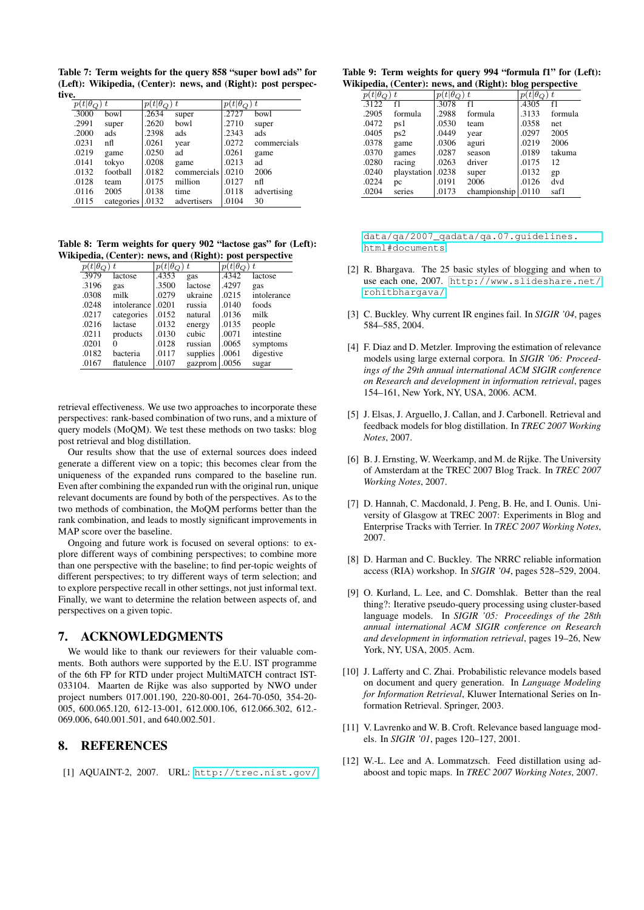<span id="page-6-12"></span>Table 7: Term weights for the query 858 "super bowl ads" for (Left): Wikipedia, (Center): news, and (Right): post perspective.

| $p(t \theta_{Q})$ |            | $p(t \theta_{Q})$ | $\rightarrow t$ | $p(t \theta_{Q})$ | $\tau$      |
|-------------------|------------|-------------------|-----------------|-------------------|-------------|
| .3000             | bowl       | .2634             | super           | .2727             | bowl        |
| .2991             | super      | .2620             | bowl            | .2710             | super       |
| .2000             | ads        | .2398             | ads             | .2343             | ads         |
| .0231             | nfl        | .0261             | year            | .0272             | commercials |
| .0219             | game       | .0250             | ad              | .0261             | game        |
| .0141             | tokyo      | .0208             | game            | .0213             | ad          |
| .0132             | football   | .0182             | commercials     | .0210             | 2006        |
| .0128             | team       | .0175             | million         | .0127             | nfl         |
| .0116             | 2005       | .0138             | time            | .0118             | advertising |
| .0115             | categories | .0132             | advertisers     | .0104             | 30          |

Table 8: Term weights for query 902 "lactose gas" for (Left): Wikipedia, (Center): news, and (Right): post perspective

<span id="page-6-13"></span>

| $p(t \theta_{O})$ | $\boldsymbol{t}$ | $p(t \theta_{O})$ | $\rightarrow t$ | $p(t \theta_{Q})$ | $^{\rm t}$  |
|-------------------|------------------|-------------------|-----------------|-------------------|-------------|
| .3979             | lactose          | .4353             | gas             | .4342             | lactose     |
| .3196             | gas              | .3500             | lactose         | .4297             | gas         |
| .0308             | milk             | .0279             | ukraine         | .0215             | intolerance |
| .0248             | intolerance      | .0201             | russia          | .0140             | foods       |
| .0217             | categories       | .0152             | natural         | .0136             | milk        |
| .0216             | lactase          | .0132             | energy          | .0135             | people      |
| .0211             | products         | .0130             | cubic           | .0071             | intestine   |
| .0201             | 0                | .0128             | russian         | .0065             | symptoms    |
| .0182             | bacteria         | .0117             | supplies        | .0061             | digestive   |
| .0167             | flatulence       | .0107             | gazprom         | .0056             | sugar       |

retrieval effectiveness. We use two approaches to incorporate these perspectives: rank-based combination of two runs, and a mixture of query models (MoQM). We test these methods on two tasks: blog post retrieval and blog distillation.

Our results show that the use of external sources does indeed generate a different view on a topic; this becomes clear from the uniqueness of the expanded runs compared to the baseline run. Even after combining the expanded run with the original run, unique relevant documents are found by both of the perspectives. As to the two methods of combination, the MoQM performs better than the rank combination, and leads to mostly significant improvements in MAP score over the baseline.

Ongoing and future work is focused on several options: to explore different ways of combining perspectives; to combine more than one perspective with the baseline; to find per-topic weights of different perspectives; to try different ways of term selection; and to explore perspective recall in other settings, not just informal text. Finally, we want to determine the relation between aspects of, and perspectives on a given topic.

# 7. ACKNOWLEDGMENTS

We would like to thank our reviewers for their valuable comments. Both authors were supported by the E.U. IST programme of the 6th FP for RTD under project MultiMATCH contract IST-033104. Maarten de Rijke was also supported by NWO under project numbers 017.001.190, 220-80-001, 264-70-050, 354-20- 005, 600.065.120, 612-13-001, 612.000.106, 612.066.302, 612.- 069.006, 640.001.501, and 640.002.501.

## 8. REFERENCES

<span id="page-6-11"></span>[1] AQUAINT-2, 2007. URL: [http://trec.nist.gov/](http://trec.nist.gov/data/qa/2007_qadata/qa.07.guidelines.html#documents)

| Table 9: Term weights for query 994 "formula f1" for (Left): |  |  |  |
|--------------------------------------------------------------|--|--|--|
| Wikipedia, (Center): news, and (Right): blog perspective     |  |  |  |

<span id="page-6-14"></span>

| $\overline{(t }\theta_{Q})$ | t.          | $p(t \theta_Q)$ | ) t          | $p(t \theta_O$ | ) t     |
|-----------------------------|-------------|-----------------|--------------|----------------|---------|
| .3122                       | f1          | .3078           | f1           | .4305          | f1      |
| .2905                       | formula     | .2988           | formula      | .3133          | formula |
| .0472                       | ps 1        | .0530           | team         | .0358          | net     |
| .0405                       | ps2         | .0449           | year         | .0297          | 2005    |
| .0378                       | game        | .0306           | aguri        | .0219          | 2006    |
| .0370                       | games       | .0287           | season       | .0189          | takuma  |
| .0280                       | racing      | .0263           | driver       | .0175          | 12      |
| .0240                       | playstation | .0238           | super        | .0132          | gp      |
| .0224                       | pc          | .0191           | 2006         | .0126          | dvd     |
| .0204                       | series      | .0173           | championship | .0110          | saf1    |

[data/qa/2007\\_qadata/qa.07.guidelines.](http://trec.nist.gov/data/qa/2007_qadata/qa.07.guidelines.html#documents) [html#documents](http://trec.nist.gov/data/qa/2007_qadata/qa.07.guidelines.html#documents).

- <span id="page-6-2"></span>[2] R. Bhargava. The 25 basic styles of blogging and when to use each one, 2007. [http://www.slideshare.net/](http://www.slideshare.net/rohitbhargava/) [rohitbhargava/](http://www.slideshare.net/rohitbhargava/).
- <span id="page-6-0"></span>[3] C. Buckley. Why current IR engines fail. In *SIGIR '04*, pages 584–585, 2004.
- <span id="page-6-10"></span>[4] F. Diaz and D. Metzler. Improving the estimation of relevance models using large external corpora. In *SIGIR '06: Proceedings of the 29th annual international ACM SIGIR conference on Research and development in information retrieval*, pages 154–161, New York, NY, USA, 2006. ACM.
- <span id="page-6-5"></span>[5] J. Elsas, J. Arguello, J. Callan, and J. Carbonell. Retrieval and feedback models for blog distillation. In *TREC 2007 Working Notes*, 2007.
- <span id="page-6-3"></span>[6] B. J. Ernsting, W. Weerkamp, and M. de Rijke. The University of Amsterdam at the TREC 2007 Blog Track. In *TREC 2007 Working Notes*, 2007.
- <span id="page-6-4"></span>[7] D. Hannah, C. Macdonald, J. Peng, B. He, and I. Ounis. University of Glasgow at TREC 2007: Experiments in Blog and Enterprise Tracks with Terrier. In *TREC 2007 Working Notes*, 2007.
- <span id="page-6-1"></span>[8] D. Harman and C. Buckley. The NRRC reliable information access (RIA) workshop. In *SIGIR '04*, pages 528–529, 2004.
- <span id="page-6-9"></span>[9] O. Kurland, L. Lee, and C. Domshlak. Better than the real thing?: Iterative pseudo-query processing using cluster-based language models. In *SIGIR '05: Proceedings of the 28th annual international ACM SIGIR conference on Research and development in information retrieval*, pages 19–26, New York, NY, USA, 2005. Acm.
- <span id="page-6-7"></span>[10] J. Lafferty and C. Zhai. Probabilistic relevance models based on document and query generation. In *Language Modeling for Information Retrieval*, Kluwer International Series on Information Retrieval. Springer, 2003.
- <span id="page-6-8"></span>[11] V. Lavrenko and W. B. Croft. Relevance based language models. In *SIGIR '01*, pages 120–127, 2001.
- <span id="page-6-6"></span>[12] W.-L. Lee and A. Lommatzsch. Feed distillation using adaboost and topic maps. In *TREC 2007 Working Notes*, 2007.